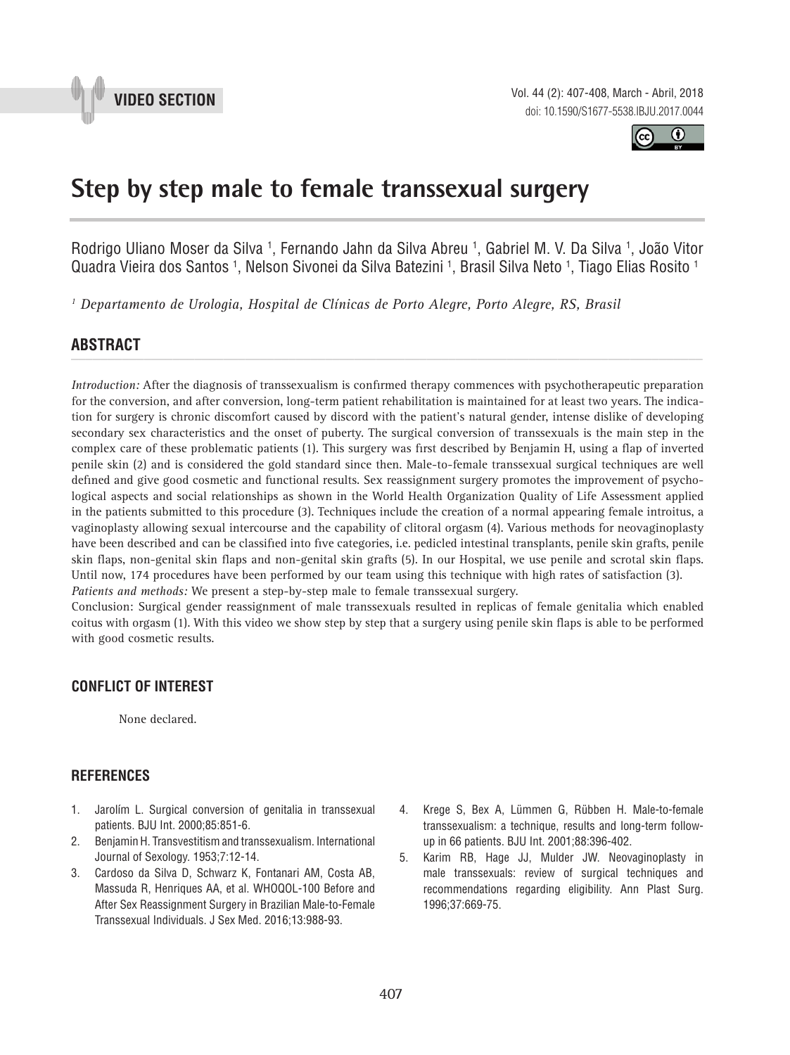



## **Step by step male to female transsexual surgery \_\_\_\_\_\_\_\_\_\_\_\_\_\_\_\_\_\_\_\_\_\_\_\_\_\_\_\_\_\_\_\_\_\_\_\_\_\_\_\_\_\_\_\_\_\_\_**

Rodrigo Uliano Moser da Silva <sup>1</sup>, Fernando Jahn da Silva Abreu <sup>1</sup>, Gabriel M. V. Da Silva <sup>1</sup>, João Vitor Quadra Vieira dos Santos 1, Nelson Sivonei da Silva Batezini 1, Brasil Silva Neto 1, Tiago Elias Rosito 1

*1 Departamento de Urologia, Hospital de Clínicas de Porto Alegre, Porto Alegre, RS, Brasil*

# **ABSTRACT** *\_\_\_\_\_\_\_\_\_\_\_\_\_\_\_\_\_\_\_\_\_\_\_\_\_\_\_\_\_\_\_\_\_\_\_\_\_\_\_\_\_\_\_\_\_\_\_\_\_\_\_\_\_\_\_\_\_\_\_\_\_\_\_\_\_\_\_\_\_\_\_\_\_\_\_\_\_\_\_\_\_\_\_\_\_\_\_*

*Introduction:* After the diagnosis of transsexualism is confirmed therapy commences with psychotherapeutic preparation for the conversion, and after conversion, long-term patient rehabilitation is maintained for at least two years. The indication for surgery is chronic discomfort caused by discord with the patient's natural gender, intense dislike of developing secondary sex characteristics and the onset of puberty. The surgical conversion of transsexuals is the main step in the complex care of these problematic patients (1). This surgery was first described by Benjamin H, using a flap of inverted penile skin (2) and is considered the gold standard since then. Male-to-female transsexual surgical techniques are well defined and give good cosmetic and functional results. Sex reassignment surgery promotes the improvement of psychological aspects and social relationships as shown in the World Health Organization Quality of Life Assessment applied in the patients submitted to this procedure (3). Techniques include the creation of a normal appearing female introitus, a vaginoplasty allowing sexual intercourse and the capability of clitoral orgasm (4). Various methods for neovaginoplasty have been described and can be classified into five categories, i.e. pedicled intestinal transplants, penile skin grafts, penile skin flaps, non-genital skin flaps and non-genital skin grafts (5). In our Hospital, we use penile and scrotal skin flaps. Until now, 174 procedures have been performed by our team using this technique with high rates of satisfaction (3). *Patients and methods:* We present a step-by-step male to female transsexual surgery.

Conclusion: Surgical gender reassignment of male transsexuals resulted in replicas of female genitalia which enabled coitus with orgasm (1). With this video we show step by step that a surgery using penile skin flaps is able to be performed with good cosmetic results.

#### **CONFLICT OF INTEREST**

None declared.

#### **References**

- 1. Jarolím L. Surgical conversion of genitalia in transsexual patients. BJU Int. 2000;85:851-6.
- 2. Benjamin H. Transvestitism and transsexualism. International Journal of Sexology. 1953;7:12-14.
- 3. Cardoso da Silva D, Schwarz K, Fontanari AM, Costa AB, Massuda R, Henriques AA, et al. WHOQOL-100 Before and After Sex Reassignment Surgery in Brazilian Male-to-Female Transsexual Individuals. J Sex Med. 2016;13:988-93.
- 4. Krege S, Bex A, Lümmen G, Rübben H. Male-to-female transsexualism: a technique, results and long-term followup in 66 patients. BJU Int. 2001;88:396-402.
- 5. Karim RB, Hage JJ, Mulder JW. Neovaginoplasty in male transsexuals: review of surgical techniques and recommendations regarding eligibility. Ann Plast Surg. 1996;37:669-75.